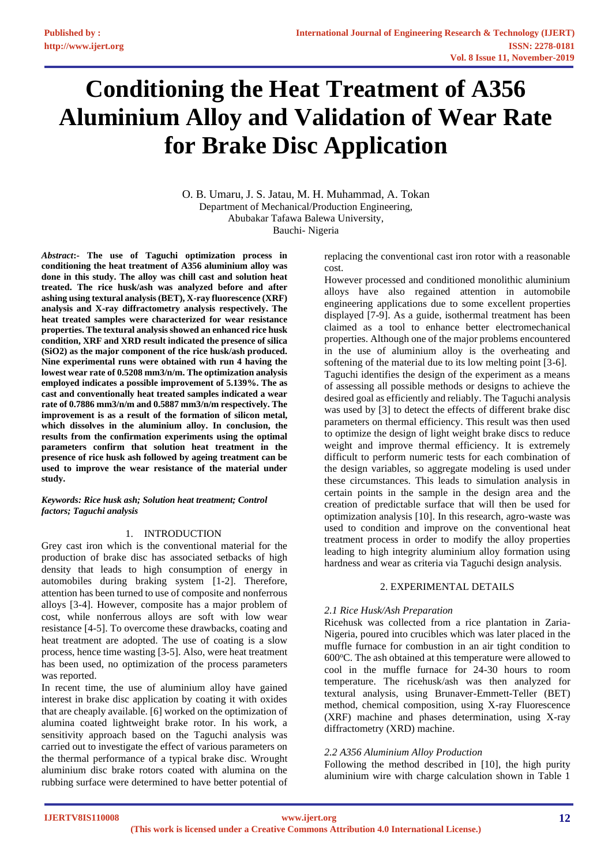# **Conditioning the Heat Treatment of A356 Aluminium Alloy and Validation of Wear Rate for Brake Disc Application**

O. B. Umaru, J. S. Jatau, M. H. Muhammad, A. Tokan Department of Mechanical/Production Engineering, Abubakar Tafawa Balewa University, Bauchi- Nigeria

*Abstract***:- The use of Taguchi optimization process in conditioning the heat treatment of A356 aluminium alloy was done in this study. The alloy was chill cast and solution heat treated. The rice husk/ash was analyzed before and after ashing using textural analysis (BET), X-ray fluorescence (XRF) analysis and X-ray diffractometry analysis respectively. The heat treated samples were characterized for wear resistance properties. The textural analysis showed an enhanced rice husk condition, XRF and XRD result indicated the presence of silica (SiO2) as the major component of the rice husk/ash produced. Nine experimental runs were obtained with run 4 having the lowest wear rate of 0.5208 mm3/n/m. The optimization analysis employed indicates a possible improvement of 5.139%. The as cast and conventionally heat treated samples indicated a wear rate of 0.7886 mm3/n/m and 0.5887 mm3/n/m respectively. The improvement is as a result of the formation of silicon metal, which dissolves in the aluminium alloy. In conclusion, the results from the confirmation experiments using the optimal parameters confirm that solution heat treatment in the presence of rice husk ash followed by ageing treatment can be used to improve the wear resistance of the material under study.**

#### *Keywords: Rice husk ash; Solution heat treatment; Control factors; Taguchi analysis*

# 1. INTRODUCTION

Grey cast iron which is the conventional material for the production of brake disc has associated setbacks of high density that leads to high consumption of energy in automobiles during braking system [1-2]. Therefore, attention has been turned to use of composite and nonferrous alloys [3-4]. However, composite has a major problem of cost, while nonferrous alloys are soft with low wear resistance [4-5]. To overcome these drawbacks, coating and heat treatment are adopted. The use of coating is a slow process, hence time wasting [3-5]. Also, were heat treatment has been used, no optimization of the process parameters was reported.

In recent time, the use of aluminium alloy have gained interest in brake disc application by coating it with oxides that are cheaply available. [6] worked on the optimization of alumina coated lightweight brake rotor. In his work, a sensitivity approach based on the Taguchi analysis was carried out to investigate the effect of various parameters on the thermal performance of a typical brake disc. Wrought aluminium disc brake rotors coated with alumina on the rubbing surface were determined to have better potential of replacing the conventional cast iron rotor with a reasonable cost.

However processed and conditioned monolithic aluminium alloys have also regained attention in automobile engineering applications due to some excellent properties displayed [7-9]. As a guide, isothermal treatment has been claimed as a tool to enhance better electromechanical properties. Although one of the major problems encountered in the use of aluminium alloy is the overheating and softening of the material due to its low melting point [3-6]. Taguchi identifies the design of the experiment as a means of assessing all possible methods or designs to achieve the desired goal as efficiently and reliably. The Taguchi analysis was used by [3] to detect the effects of different brake disc parameters on thermal efficiency. This result was then used to optimize the design of light weight brake discs to reduce weight and improve thermal efficiency. It is extremely difficult to perform numeric tests for each combination of the design variables, so aggregate modeling is used under these circumstances. This leads to simulation analysis in certain points in the sample in the design area and the creation of predictable surface that will then be used for optimization analysis [10]. In this research, agro-waste was used to condition and improve on the conventional heat treatment process in order to modify the alloy properties leading to high integrity aluminium alloy formation using hardness and wear as criteria via Taguchi design analysis.

# 2. EXPERIMENTAL DETAILS

# *2.1 Rice Husk/Ash Preparation*

Ricehusk was collected from a rice plantation in Zaria-Nigeria, poured into crucibles which was later placed in the muffle furnace for combustion in an air tight condition to  $600^{\circ}$ C. The ash obtained at this temperature were allowed to cool in the muffle furnace for 24-30 hours to room temperature. The ricehusk/ash was then analyzed for textural analysis, using Brunaver-Emmett-Teller (BET) method, chemical composition, using X-ray Fluorescence (XRF) machine and phases determination, using X-ray diffractometry (XRD) machine.

# *2.2 A356 Aluminium Alloy Production*

Following the method described in [10], the high purity aluminium wire with charge calculation shown in Table 1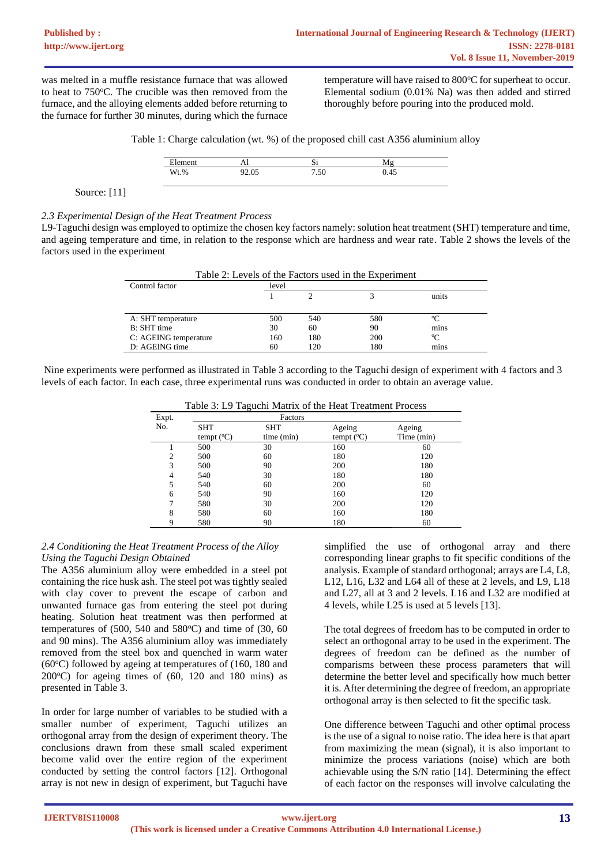was melted in a muffle resistance furnace that was allowed to heat to  $750^{\circ}$ C. The crucible was then removed from the furnace, and the alloying elements added before returning to the furnace for further 30 minutes, during which the furnace

temperature will have raised to 800 °C for superheat to occur. Elemental sodium (0.01% Na) was then added and stirred thoroughly before pouring into the produced mold.

Table 1: Charge calculation (wt. %) of the proposed chill cast A356 aluminium alloy

| ∽    | $\sim$ 11<br>--- | ມ           |      |  |
|------|------------------|-------------|------|--|
| Wt.% | $\sim$<br>2.03   | 50<br>טכ. י | U.4J |  |

Source: [11]

*2.3 Experimental Design of the Heat Treatment Process*

L9-Taguchi design was employed to optimize the chosen key factors namely: solution heat treatment (SHT) temperature and time, and ageing temperature and time, in relation to the response which are hardness and wear rate. Table 2 shows the levels of the factors used in the experiment

| Table 2: Levels of the Factors used in the Experiment |       |     |     |       |  |  |
|-------------------------------------------------------|-------|-----|-----|-------|--|--|
| Control factor                                        | level |     |     |       |  |  |
|                                                       |       |     |     | units |  |  |
|                                                       |       |     |     |       |  |  |
| A: SHT temperature                                    | 500   | 540 | 580 | °∩    |  |  |
| B: SHT time                                           | 30    | 60  | 90  | mins  |  |  |
| C: AGEING temperature                                 | 160   | 180 | 200 | °C    |  |  |
| D: AGEING time                                        | 60    | 120 | 180 | mins  |  |  |

Nine experiments were performed as illustrated in Table 3 according to the Taguchi design of experiment with 4 factors and 3 levels of each factor. In each case, three experimental runs was conducted in order to obtain an average value.

Table 3: L9 Taguchi Matrix of the Heat Treatment Process

| Expt.          |                     | Factors    |                     |            |
|----------------|---------------------|------------|---------------------|------------|
| No.            | <b>SHT</b>          | SHT        | Ageing              | Ageing     |
|                | tempt $(^{\circ}C)$ | time (min) | tempt $(^{\circ}C)$ | Time (min) |
|                | 500                 | 30         | 160                 | 60         |
| $\overline{c}$ | 500                 | 60         | 180                 | 120        |
| 3              | 500                 | 90         | 200                 | 180        |
| $\overline{4}$ | 540                 | 30         | 180                 | 180        |
| 5              | 540                 | 60         | 200                 | 60         |
| 6              | 540                 | 90         | 160                 | 120        |
| 7              | 580                 | 30         | 200                 | 120        |
| 8              | 580                 | 60         | 160                 | 180        |
| 9              | 580                 | 90         | 180                 | 60         |

# *2.4 Conditioning the Heat Treatment Process of the Alloy Using the Taguchi Design Obtained*

The A356 aluminium alloy were embedded in a steel pot containing the rice husk ash. The steel pot was tightly sealed with clay cover to prevent the escape of carbon and unwanted furnace gas from entering the steel pot during heating. Solution heat treatment was then performed at temperatures of  $(500, 540 \text{ and } 580^{\circ}\text{C})$  and time of  $(30, 60 \text{)}$ and 90 mins). The A356 aluminium alloy was immediately removed from the steel box and quenched in warm water ( $60^{\circ}$ C) followed by ageing at temperatures of (160, 180 and 200 $^{\circ}$ C) for ageing times of (60, 120 and 180 mins) as presented in Table 3.

In order for large number of variables to be studied with a smaller number of experiment, Taguchi utilizes an orthogonal array from the design of experiment theory. The conclusions drawn from these small scaled experiment become valid over the entire region of the experiment conducted by setting the control factors [12]. Orthogonal array is not new in design of experiment, but Taguchi have

simplified the use of orthogonal array and there corresponding linear graphs to fit specific conditions of the analysis. Example of standard orthogonal; arrays are L4, L8, L12, L16, L32 and L64 all of these at 2 levels, and L9, L18 and L27, all at 3 and 2 levels. L16 and L32 are modified at 4 levels, while L25 is used at 5 levels [13].

The total degrees of freedom has to be computed in order to select an orthogonal array to be used in the experiment. The degrees of freedom can be defined as the number of comparisms between these process parameters that will determine the better level and specifically how much better it is. After determining the degree of freedom, an appropriate orthogonal array is then selected to fit the specific task.

One difference between Taguchi and other optimal process is the use of a signal to noise ratio. The idea here is that apart from maximizing the mean (signal), it is also important to minimize the process variations (noise) which are both achievable using the S/N ratio [14]. Determining the effect of each factor on the responses will involve calculating the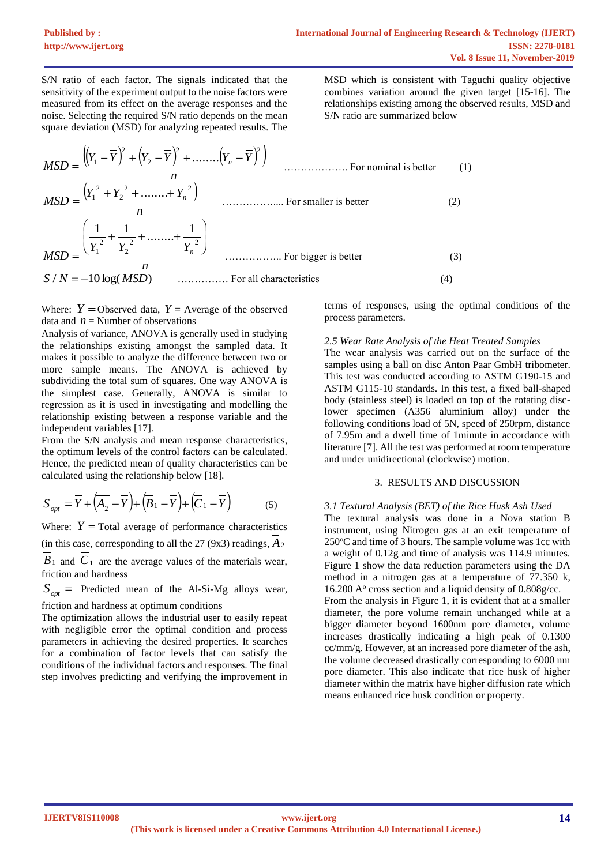S/N ratio of each factor. The signals indicated that the sensitivity of the experiment output to the noise factors were measured from its effect on the average responses and the noise. Selecting the required S/N ratio depends on the mean square deviation (MSD) for analyzing repeated results. The

MSD which is consistent with Taguchi quality objective combines variation around the given target [15-16]. The relationships existing among the observed results, MSD and S/N ratio are summarized below

$$
MSD = \frac{\left( (Y_1 - \overline{Y})^2 + (Y_2 - \overline{Y})^2 + \dots + (Y_n - \overline{Y})^2 \right)}{n}
$$
 ... For nominal is better  
\n
$$
MSD = \frac{\left( Y_1^2 + Y_2^2 + \dots + Y_n^2 \right)}{n}
$$
 ... For smaller is better  
\n
$$
MSD = \frac{\left( \frac{1}{Y_1^2} + \frac{1}{Y_2^2} + \dots + \frac{1}{Y_n^2} \right)}{n}
$$
 ... For bigger is better  
\n
$$
MSD = \frac{n}{(3)}
$$

Where:  $Y =$ Observed data,  $\overline{Y} =$  Average of the observed data and  $n =$  Number of observations

Analysis of variance, ANOVA is generally used in studying the relationships existing amongst the sampled data. It makes it possible to analyze the difference between two or more sample means. The ANOVA is achieved by subdividing the total sum of squares. One way ANOVA is the simplest case. Generally, ANOVA is similar to regression as it is used in investigating and modelling the relationship existing between a response variable and the independent variables [17].

From the S/N analysis and mean response characteristics, the optimum levels of the control factors can be calculated. Hence, the predicted mean of quality characteristics can be calculated using the relationship below [18].

$$
S_{opt} = \overline{Y} + (\overline{A_2} - \overline{Y}) + (\overline{B}_1 - \overline{Y}) + (\overline{C}_1 - \overline{Y})
$$
(5)

Where:  $Y = \text{Total average of performance characteristics}$ (in this case, corresponding to all the  $27 (9x3)$  readings,  $A_2$  $B_1$  and  $C_1$  are the average values of the materials wear, friction and hardness

 $S_{opt}$  = Predicted mean of the Al-Si-Mg alloys wear,

friction and hardness at optimum conditions

The optimization allows the industrial user to easily repeat with negligible error the optimal condition and process parameters in achieving the desired properties. It searches for a combination of factor levels that can satisfy the conditions of the individual factors and responses. The final step involves predicting and verifying the improvement in terms of responses, using the optimal conditions of the process parameters.

### *2.5 Wear Rate Analysis of the Heat Treated Samples*

The wear analysis was carried out on the surface of the samples using a ball on disc Anton Paar GmbH tribometer. This test was conducted according to ASTM G190-15 and ASTM G115-10 standards. In this test, a fixed ball-shaped body (stainless steel) is loaded on top of the rotating disclower specimen (A356 aluminium alloy) under the following conditions load of 5N, speed of 250rpm, distance of 7.95m and a dwell time of 1minute in accordance with literature [7]. All the test was performed at room temperature and under unidirectional (clockwise) motion.

# 3. RESULTS AND DISCUSSION

#### *3.1 Textural Analysis (BET) of the Rice Husk Ash Used*

The textural analysis was done in a Nova station B instrument, using Nitrogen gas at an exit temperature of  $250^{\circ}$ C and time of 3 hours. The sample volume was 1cc with a weight of 0.12g and time of analysis was 114.9 minutes. Figure 1 show the data reduction parameters using the DA method in a nitrogen gas at a temperature of 77.350 k, 16.200 A° cross section and a liquid density of 0.808g/cc. From the analysis in Figure 1, it is evident that at a smaller diameter, the pore volume remain unchanged while at a bigger diameter beyond 1600nm pore diameter, volume increases drastically indicating a high peak of 0.1300 cc/mm/g. However, at an increased pore diameter of the ash, the volume decreased drastically corresponding to 6000 nm pore diameter. This also indicate that rice husk of higher diameter within the matrix have higher diffusion rate which means enhanced rice husk condition or property.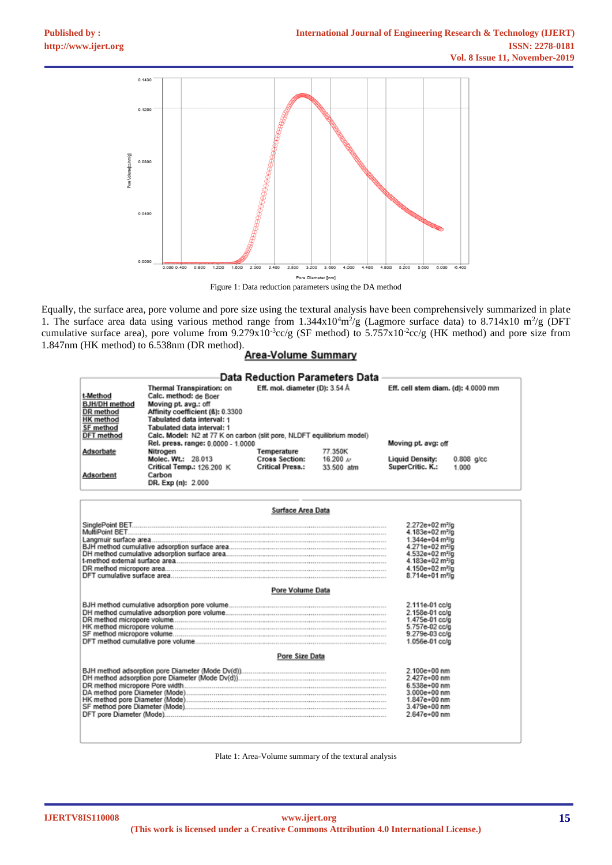

Figure 1: Data reduction parameters using the DA method

Equally, the surface area, pore volume and pore size using the textural analysis have been comprehensively summarized in plate 1. The surface area data using various method range from  $1.344 \times 10^4 \text{m}^2/\text{g}$  (Lagmore surface data) to 8.714x10  $\text{m}^2/\text{g}$  (DFT cumulative surface area), pore volume from  $9.279 \times 10^{-3}$ cc/g (SF method) to  $5.757 \times 10^{-2}$ cc/g (HK method) and pore size from 1.847nm (HK method) to 6.538nm (DR method).<br>**Area-Volume Summary** 

|                                                                   |                                                                                                                                              | Data Reduction Parameters Data                                  |                                                |                                            |                       |
|-------------------------------------------------------------------|----------------------------------------------------------------------------------------------------------------------------------------------|-----------------------------------------------------------------|------------------------------------------------|--------------------------------------------|-----------------------|
| t-Method<br><b>BJH/DH</b> method<br>DR method<br><b>HK</b> method | Thermal Transpiration: on<br>Calc. method: de Boer<br>Moving pt. avg.: off<br>Affinity coefficient (B): 0.3300<br>Tabulated data interval: 1 | Eff. mol. diameter (D): 3.54 Å                                  |                                                | Eff. cell stem diam. (d): 4.0000 mm        |                       |
| SF method<br>DFT method                                           | Tabulated data interval: 1<br>Calc. Model: N2 at 77 K on carbon (slit pore, NLDFT equilibrium model)                                         |                                                                 |                                                |                                            |                       |
|                                                                   | Rel. press. range: 0,0000 - 1,0000                                                                                                           |                                                                 |                                                | Moving pt. avg: off                        |                       |
| Adsorbate                                                         | Nitrogen<br>Molec. Wt.: 28.013<br>Critical Temp.: 126.200 K                                                                                  | Temperature<br><b>Cross Section:</b><br><b>Critical Press.:</b> | 77.350K<br>$16.200 \; \text{kg}$<br>33.500 atm | <b>Liquid Density:</b><br>SuperCritic. K.: | $0.808$ g/cc<br>1.000 |
| Adsorbent                                                         | Carbon<br>DR. Exp (n): 2.000                                                                                                                 |                                                                 |                                                |                                            |                       |

|                  | 2.272e+02 m <sup>3</sup> /a |
|------------------|-----------------------------|
|                  | 4.183e+02 m <sup>2</sup> /a |
|                  | 1.344e+04 m <sup>2</sup> /g |
|                  | 4.271e+02 m <sup>2</sup> /a |
|                  | 4.532e+02 m3/g              |
|                  | 4.183e+02 m <sup>2</sup> /g |
|                  | 4.150e+02 m <sup>2</sup> /g |
|                  | 8.714e+01 m <sup>2</sup> /g |
| Pore Volume Data |                             |
|                  | 2.111e-01 cc/g              |
|                  | 2.158e-01 cc/a              |
|                  | .475e-01 cc/a               |
|                  | 5.757e-02 cc/g              |
|                  | 9.279e-03 cc/g              |
|                  | 1.056e-01 cc/g              |
| Pore Size Data   |                             |
|                  | 2.100e+00 nm                |
|                  | 2.427e+00 nm                |
|                  | 6.538e+00 nm                |
|                  | $3.000e + 00$ nm            |
|                  | 1.847e+00 nm                |
|                  | 3.479e+00 nm                |
|                  | 2.647e+00 nm                |

Plate 1: Area-Volume summary of the textural analysis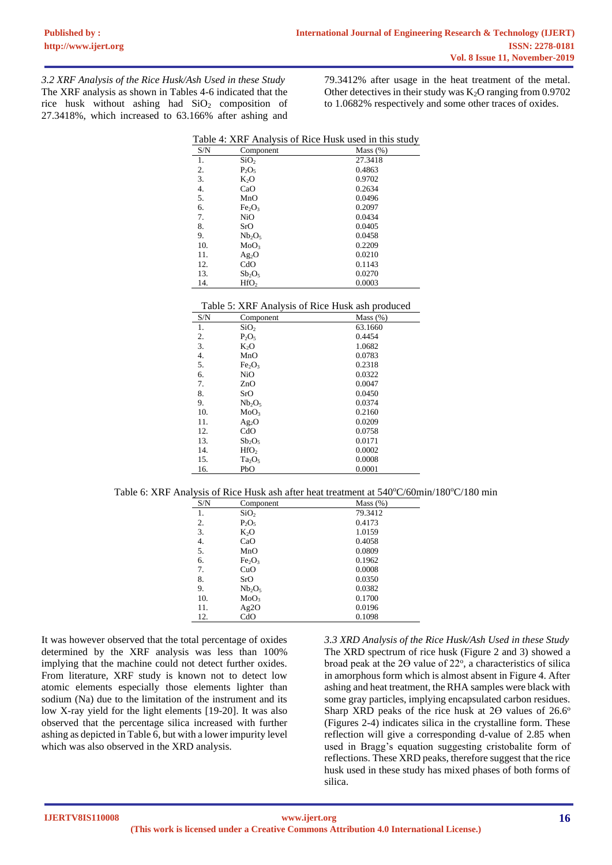*3.2 XRF Analysis of the Rice Husk/Ash Used in these Study* The XRF analysis as shown in Tables 4-6 indicated that the rice husk without ashing had  $SiO<sub>2</sub>$  composition of 27.3418%, which increased to 63.166% after ashing and 79.3412% after usage in the heat treatment of the metal. Other detectives in their study was  $K_2O$  ranging from 0.9702 to 1.0682% respectively and some other traces of oxides.

|     |                                | Table 4: XRF Analysis of Rice Husk used in this study |
|-----|--------------------------------|-------------------------------------------------------|
| S/N | Component                      | Mass $(\%)$                                           |
| 1.  | SiO <sub>2</sub>               | 27.3418                                               |
| 2.  | $P_2O_5$                       | 0.4863                                                |
| 3.  | K <sub>2</sub> O               | 0.9702                                                |
| 4.  | CaO                            | 0.2634                                                |
| 5.  | MnO                            | 0.0496                                                |
| 6.  | Fe <sub>2</sub> O <sub>3</sub> | 0.2097                                                |
| 7.  | NiO                            | 0.0434                                                |
| 8.  | SrO                            | 0.0405                                                |
| 9.  | Nb <sub>2</sub> O <sub>5</sub> | 0.0458                                                |
| 10. | MoO <sub>3</sub>               | 0.2209                                                |
| 11. | Ag <sub>2</sub> O              | 0.0210                                                |
| 12. | CdO                            | 0.1143                                                |
| 13. | $Sb_2O_5$                      | 0.0270                                                |
| 14. | HfO <sub>2</sub>               | 0.0003                                                |

| Table 4: XRF Analysis of Rice Husk used in this study |
|-------------------------------------------------------|
|-------------------------------------------------------|

| S/N | Component                      | Mass $(\%)$ |
|-----|--------------------------------|-------------|
| 1.  | SiO <sub>2</sub>               | 63.1660     |
| 2.  | $P_2O_5$                       | 0.4454      |
| 3.  | K <sub>2</sub> O               | 1.0682      |
| 4.  | MnO                            | 0.0783      |
| 5.  | Fe <sub>2</sub> O <sub>3</sub> | 0.2318      |
| 6.  | NiO                            | 0.0322      |
| 7.  | ZnO                            | 0.0047      |
| 8.  | SrO                            | 0.0450      |
| 9.  | Nb <sub>2</sub> O <sub>5</sub> | 0.0374      |
| 10. | MoO <sub>3</sub>               | 0.2160      |
| 11. | $Ag_2O$                        | 0.0209      |
| 12. | CdO                            | 0.0758      |
| 13. | $Sb_2O_5$                      | 0.0171      |
| 14. | HfO <sub>2</sub>               | 0.0002      |
| 15. | Ta <sub>2</sub> O <sub>5</sub> | 0.0008      |
| 16. | PbO                            | 0.0001      |

|  |  |  |  |  |  | Table 6: XRF Analysis of Rice Husk ash after heat treatment at $540^{\circ}C/60$ min/180 $^{\circ}C/180$ min |
|--|--|--|--|--|--|--------------------------------------------------------------------------------------------------------------|
|--|--|--|--|--|--|--------------------------------------------------------------------------------------------------------------|

| S/N | Component                      | Mass $(\%)$ |
|-----|--------------------------------|-------------|
| 1.  | SiO <sub>2</sub>               | 79.3412     |
| 2.  | $P_2O_5$                       | 0.4173      |
| 3.  | $K_2O$                         | 1.0159      |
| 4.  | CaO                            | 0.4058      |
| 5.  | MnO                            | 0.0809      |
| 6.  | Fe <sub>2</sub> O <sub>3</sub> | 0.1962      |
| 7.  | CuO                            | 0.0008      |
| 8.  | SrO                            | 0.0350      |
| 9.  | Nb <sub>2</sub> O <sub>5</sub> | 0.0382      |
| 10. | MoO <sub>3</sub>               | 0.1700      |
| 11. | Ag2O                           | 0.0196      |
| 12. | CdO                            | 0.1098      |

It was however observed that the total percentage of oxides determined by the XRF analysis was less than 100% implying that the machine could not detect further oxides. From literature, XRF study is known not to detect low atomic elements especially those elements lighter than sodium (Na) due to the limitation of the instrument and its low X-ray yield for the light elements [19-20]. It was also observed that the percentage silica increased with further ashing as depicted in Table 6, but with a lower impurity level which was also observed in the XRD analysis.

*3.3 XRD Analysis of the Rice Husk/Ash Used in these Study* The XRD spectrum of rice husk (Figure 2 and 3) showed a broad peak at the  $2\Theta$  value of  $22^{\circ}$ , a characteristics of silica in amorphous form which is almost absent in Figure 4. After ashing and heat treatment, the RHA samples were black with some gray particles, implying encapsulated carbon residues. Sharp XRD peaks of the rice husk at  $2\Theta$  values of  $26.6^\circ$ (Figures 2-4) indicates silica in the crystalline form. These reflection will give a corresponding d-value of 2.85 when used in Bragg's equation suggesting cristobalite form of reflections. These XRD peaks, therefore suggest that the rice husk used in these study has mixed phases of both forms of silica.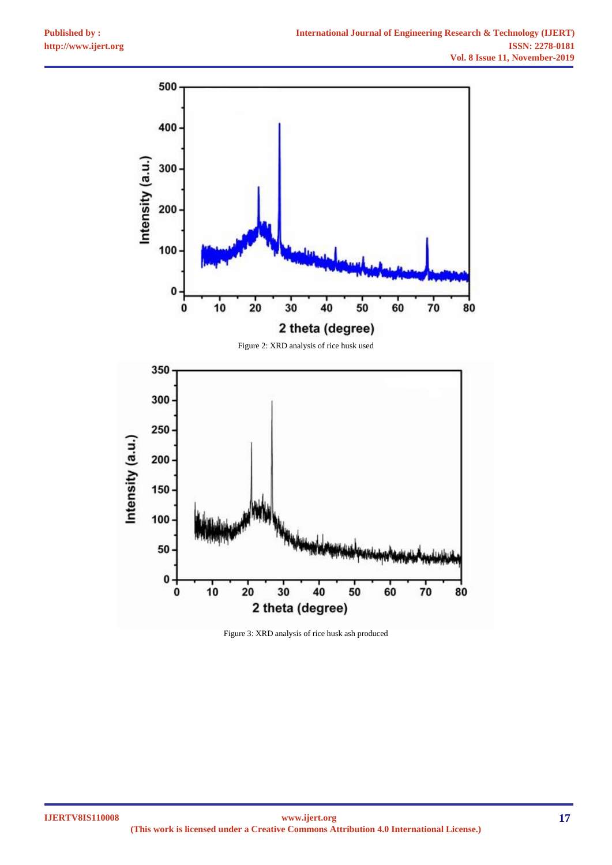

Figure 3: XRD analysis of rice husk ash produced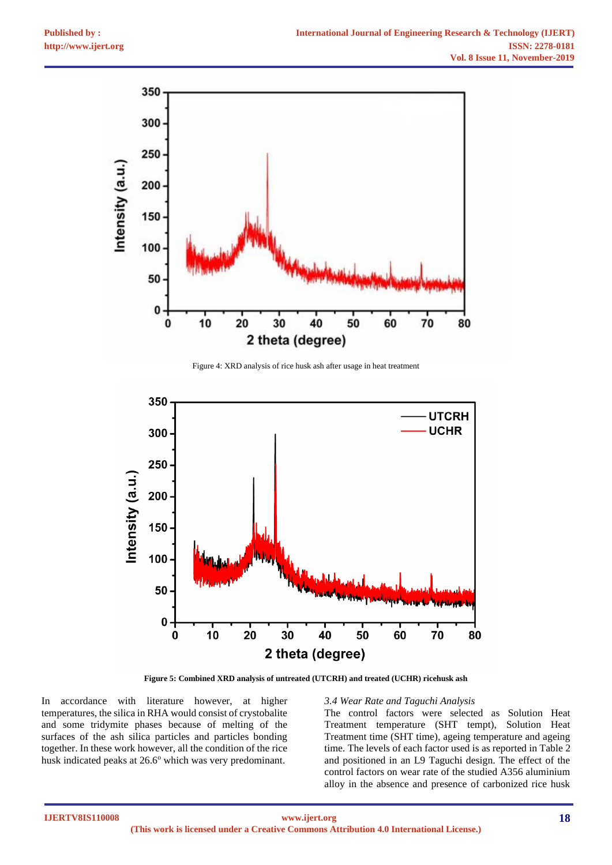

Figure 4: XRD analysis of rice husk ash after usage in heat treatment



**Figure 5: Combined XRD analysis of untreated (UTCRH) and treated (UCHR) ricehusk ash**

In accordance with literature however, at higher temperatures, the silica in RHA would consist of crystobalite and some tridymite phases because of melting of the surfaces of the ash silica particles and particles bonding together. In these work however, all the condition of the rice husk indicated peaks at 26.6° which was very predominant.

## *3.4 Wear Rate and Taguchi Analysis*

The control factors were selected as Solution Heat Treatment temperature (SHT tempt), Solution Heat Treatment time (SHT time), ageing temperature and ageing time. The levels of each factor used is as reported in Table 2 and positioned in an L9 Taguchi design. The effect of the control factors on wear rate of the studied A356 aluminium alloy in the absence and presence of carbonized rice husk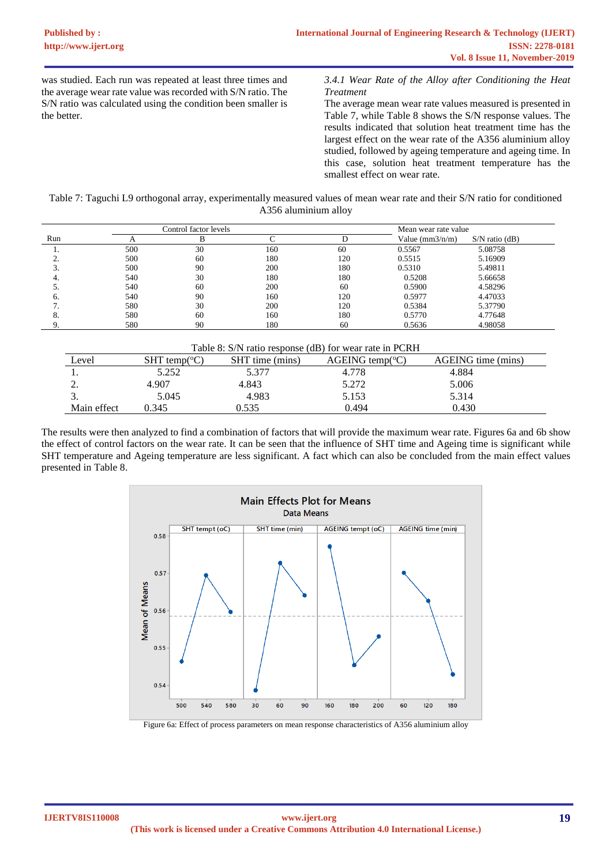was studied. Each run was repeated at least three times and the average wear rate value was recorded with S/N ratio. The S/N ratio was calculated using the condition been smaller is the better.

*3.4.1 Wear Rate of the Alloy after Conditioning the Heat Treatment* 

The average mean wear rate values measured is presented in Table 7, while Table 8 shows the S/N response values. The results indicated that solution heat treatment time has the largest effect on the wear rate of the A356 aluminium alloy studied, followed by ageing temperature and ageing time. In this case, solution heat treatment temperature has the smallest effect on wear rate.

Table 7: Taguchi L9 orthogonal array, experimentally measured values of mean wear rate and their S/N ratio for conditioned A356 aluminium alloy

| Control factor levels |     |    |     | Mean wear rate value |                     |                  |
|-----------------------|-----|----|-----|----------------------|---------------------|------------------|
| Run                   |     |    |     |                      | Value ( $mm3/n/m$ ) | $S/N$ ratio (dB) |
|                       | 500 | 30 | 160 | 60                   | 0.5567              | 5.08758          |
|                       | 500 | 60 | 180 | 120                  | 0.5515              | 5.16909          |
|                       | 500 | 90 | 200 | 180                  | 0.5310              | 5.49811          |
|                       | 540 | 30 | 180 | 180                  | 0.5208              | 5.66658          |
|                       | 540 | 60 | 200 | 60                   | 0.5900              | 4.58296          |
|                       | 540 | 90 | 160 | 120                  | 0.5977              | 4.47033          |
|                       | 580 | 30 | 200 | 120                  | 0.5384              | 5.37790          |
|                       | 580 | 60 | 160 | 180                  | 0.5770              | 4.77648          |
|                       | 580 | 90 | 180 | 60                   | 0.5636              | 4.98058          |

| Table 8: S/N ratio response (dB) for wear rate in PCRH |                           |                 |                                |                    |  |  |  |  |  |  |  |
|--------------------------------------------------------|---------------------------|-----------------|--------------------------------|--------------------|--|--|--|--|--|--|--|
| Level                                                  | SHT temp( ${}^{\circ}C$ ) | SHT time (mins) | $AGEING$ temp( ${}^{\circ}C$ ) | AGEING time (mins) |  |  |  |  |  |  |  |
|                                                        | 5.252                     | 5.377           | 4.778                          | 4.884              |  |  |  |  |  |  |  |
|                                                        | 4.907                     | 4.843           | 5.272                          | 5.006              |  |  |  |  |  |  |  |
|                                                        | 5.045                     | 4.983           | 5.153                          | 5.314              |  |  |  |  |  |  |  |
| Main effect                                            | 0.345                     | 0.535           | 0.494                          | 0.430              |  |  |  |  |  |  |  |

The results were then analyzed to find a combination of factors that will provide the maximum wear rate. Figures 6a and 6b show the effect of control factors on the wear rate. It can be seen that the influence of SHT time and Ageing time is significant while SHT temperature and Ageing temperature are less significant. A fact which can also be concluded from the main effect values presented in Table 8.



Figure 6a: Effect of process parameters on mean response characteristics of A356 aluminium alloy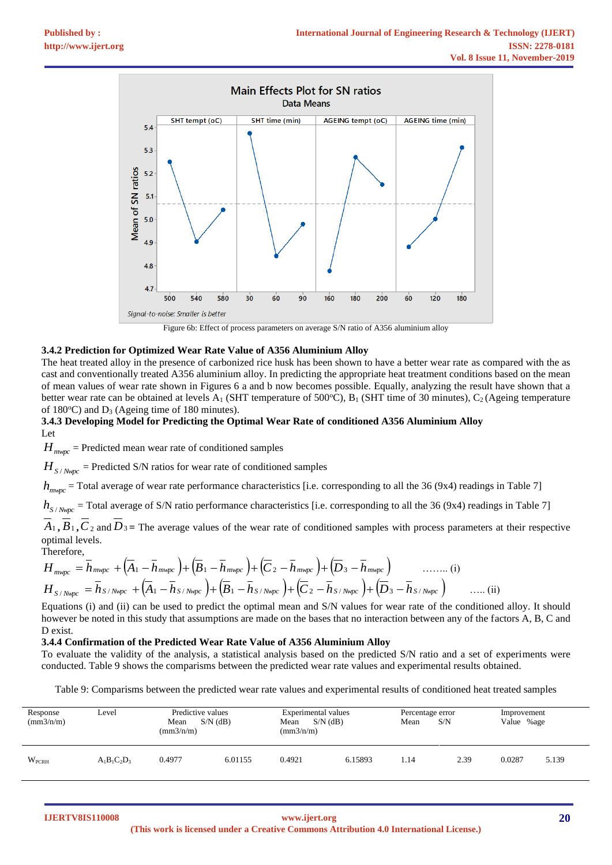

Figure 6b: Effect of process parameters on average S/N ratio of A356 aluminium alloy

#### **3.4.2 Prediction for Optimized Wear Rate Value of A356 Aluminium Alloy**

The heat treated alloy in the presence of carbonized rice husk has been shown to have a better wear rate as compared with the as cast and conventionally treated A356 aluminium alloy. In predicting the appropriate heat treatment conditions based on the mean of mean values of wear rate shown in Figures 6 a and b now becomes possible. Equally, analyzing the result have shown that a better wear rate can be obtained at levels A<sub>1</sub> (SHT temperature of 500°C), B<sub>1</sub> (SHT time of 30 minutes), C<sub>2</sub> (Ageing temperature of  $180^{\circ}$ C) and D<sub>3</sub> (Ageing time of 180 minutes).

## **3.4.3 Developing Model for Predicting the Optimal Wear Rate of conditioned A356 Aluminium Alloy** Let

 $H_{\text{mwpc}}$  = Predicted mean wear rate of conditioned samples

 $H_{S/Nnpc}$  = Predicted S/N ratios for wear rate of conditioned samples

*h*<sub>mwpc</sub> = Total average of wear rate performance characteristics [i.e. corresponding to all the 36 (9x4) readings in Table 7]

 $h$ <sub>S</sub> /  $_{Npc}$  = Total average of S/N ratio performance characteristics [i.e. corresponding to all the 36 (9x4) readings in Table 7]

 $A_1, B_1, C_2$  and  $D_3$  = The average values of the wear rate of conditioned samples with process parameters at their respective optimal levels.

Therefore,  
\n
$$
H_{\text{mwpc}} = \overline{h}_{\text{mwpc}} + (\overline{A}_1 - \overline{h}_{\text{mwpc}}) + (\overline{B}_1 - \overline{h}_{\text{mwpc}}) + (\overline{C}_2 - \overline{h}_{\text{mwpc}}) + (\overline{D}_3 - \overline{h}_{\text{mwpc}}) \quad \dots \dots \text{ (i)}
$$
\n
$$
H_{\text{S/Nmpc}} = \overline{h}_{\text{S/Nmpc}} + (\overline{A}_1 - \overline{h}_{\text{S/Nmpc}}) + (\overline{B}_1 - \overline{h}_{\text{S/Nmpc}}) + (\overline{C}_2 - \overline{h}_{\text{S/Nmpc}}) + (\overline{D}_3 - \overline{h}_{\text{S/Nmpc}}) \quad \dots \text{ (ii)}
$$

Equations (i) and (ii) can be used to predict the optimal mean and S/N values for wear rate of the conditioned alloy. It should however be noted in this study that assumptions are made on the bases that no interaction between any of the factors A, B, C and D exist.

#### **3.4.4 Confirmation of the Predicted Wear Rate Value of A356 Aluminium Alloy**

To evaluate the validity of the analysis, a statistical analysis based on the predicted S/N ratio and a set of experiments were conducted. Table 9 shows the comparisms between the predicted wear rate values and experimental results obtained.

Table 9: Comparisms between the predicted wear rate values and experimental results of conditioned heat treated samples

| Response<br>(mm3/n/m) | Level          | Predictive values<br>$S/N$ (dB)<br>Mean<br>$\text{(mm3/n/m)}$ |         | Experimental values<br>Mean<br>$S/N$ (dB)<br>$\text{(mm3/n/m)}$ |         | Percentage error<br>S/N<br>Mean |      | Improvement<br>Value %age |       |
|-----------------------|----------------|---------------------------------------------------------------|---------|-----------------------------------------------------------------|---------|---------------------------------|------|---------------------------|-------|
| WPCRH                 | $A_1B_1C_2D_3$ | 0.4977                                                        | 6.01155 | 0.4921                                                          | 6.15893 | 1.14                            | 2.39 | 0.0287                    | 5.139 |

**IJERTV8IS110008**